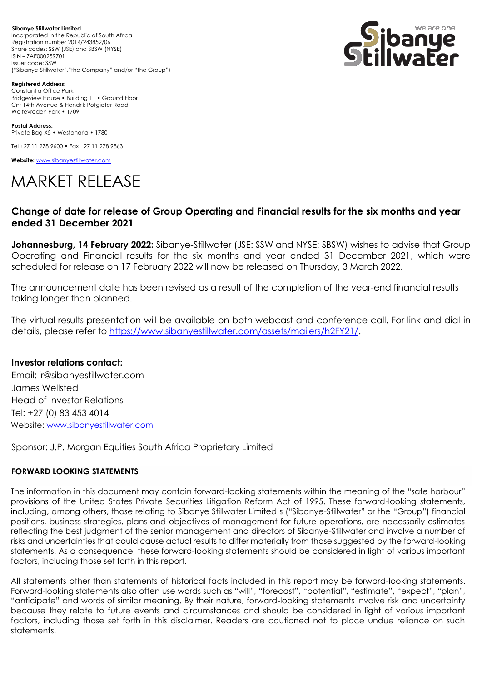**Sibanye Stillwater Limited**  Incorporated in the Republic of South Africa Registration number 2014/243852/06 Share codes: SSW (JSE) and SBSW (NYSE) ISIN – ZAE000259701 Issuer code: SSW ("Sibanye-Stillwater","the Company" and/or "the Group")



**Registered Address:** Constantia Office Park Bridgeview House • Building 11 • Ground Floor Cnr 14th Avenue & Hendrik Potgieter Road Weltevreden Park • 1709

**Postal Address:** Private Bag X5 • Westonaria • 1780

Tel +27 11 278 9600 • Fax +27 11 278 9863

**Website:** [www.sibanyestillwater.com](http://www.sibanyestillwater.com/)

## MARKET RELEASE

## **Change of date for release of Group Operating and Financial results for the six months and year ended 31 December 2021**

**Johannesburg, 14 February 2022:** Sibanye-Stillwater (JSE: SSW and NYSE: SBSW) wishes to advise that Group Operating and Financial results for the six months and year ended 31 December 2021, which were scheduled for release on 17 February 2022 will now be released on Thursday, 3 March 2022.

The announcement date has been revised as a result of the completion of the year-end financial results taking longer than planned.

The virtual results presentation will be available on both webcast and conference call. For link and dial-in details, please refer to [https://www.sibanyestillwater.com/assets/mailers/h2FY21/.](https://www.sibanyestillwater.com/assets/mailers/h2FY21/)

## **Investor relations contact:**

Email: ir@sibanyestillwater.com James Wellsted Head of Investor Relations Tel: +27 (0) 83 453 4014 Website: [www.sibanyestillwater.com](http://www.sibanyestillwater.com/)

Sponsor: J.P. Morgan Equities South Africa Proprietary Limited

## **FORWARD LOOKING STATEMENTS**

The information in this document may contain forward-looking statements within the meaning of the "safe harbour" provisions of the United States Private Securities Litigation Reform Act of 1995. These forward-looking statements, including, among others, those relating to Sibanye Stillwater Limited's ("Sibanye-Stillwater" or the "Group") financial positions, business strategies, plans and objectives of management for future operations, are necessarily estimates reflecting the best judgment of the senior management and directors of Sibanye-Stillwater and involve a number of risks and uncertainties that could cause actual results to differ materially from those suggested by the forward-looking statements. As a consequence, these forward-looking statements should be considered in light of various important factors, including those set forth in this report.

All statements other than statements of historical facts included in this report may be forward-looking statements. Forward-looking statements also often use words such as "will", "forecast", "potential", "estimate", "expect", "plan", "anticipate" and words of similar meaning. By their nature, forward-looking statements involve risk and uncertainty because they relate to future events and circumstances and should be considered in light of various important factors, including those set forth in this disclaimer. Readers are cautioned not to place undue reliance on such statements.